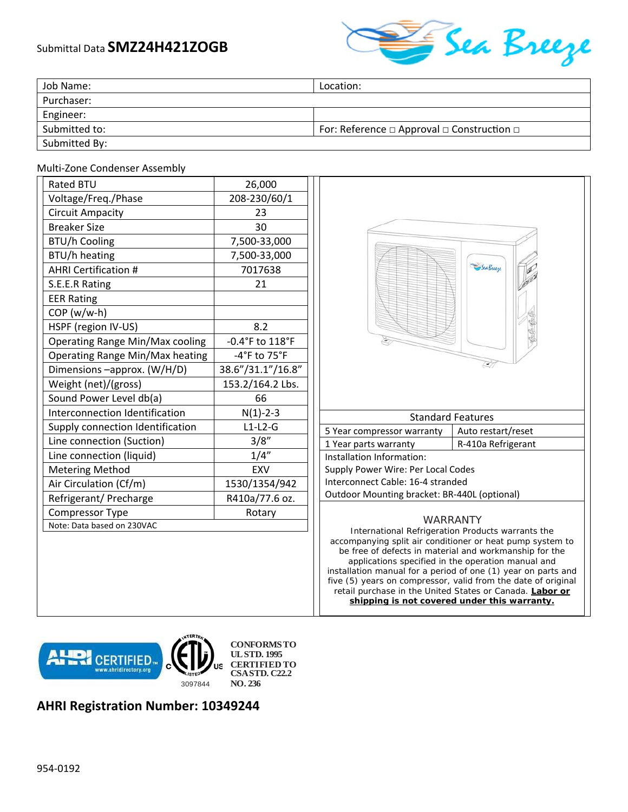## Submittal Data **SMZ24H421ZOGB**



| Job Name:     | Location:                                                 |
|---------------|-----------------------------------------------------------|
| Purchaser:    |                                                           |
| Engineer:     |                                                           |
| Submitted to: | For: Reference $\Box$ Approval $\Box$ Construction $\Box$ |
| Submitted By: |                                                           |

## Multi‐Zone Condenser Assembly

| <b>Rated BTU</b>                 | 26,000            |
|----------------------------------|-------------------|
| Voltage/Freq./Phase              | 208-230/60/1      |
| <b>Circuit Ampacity</b>          | 23                |
| <b>Breaker Size</b>              | 30                |
| <b>BTU/h Cooling</b>             | 7,500-33,000      |
| BTU/h heating                    | 7,500-33,000      |
| <b>AHRI Certification #</b>      | 7017638           |
| S.E.E.R Rating                   | 21                |
| <b>EER Rating</b>                |                   |
| COP (w/w-h)                      |                   |
| HSPF (region IV-US)              | 8.2               |
| Operating Range Min/Max cooling  | -0.4°F to 118°F   |
| Operating Range Min/Max heating  | -4°F to 75°F      |
| Dimensions -approx. (W/H/D)      | 38.6"/31.1"/16.8" |
| Weight (net)/(gross)             | 153.2/164.2 Lbs.  |
| Sound Power Level db(a)          | 66                |
| Interconnection Identification   | $N(1) - 2 - 3$    |
| Supply connection Identification | $L1-L2-G$         |
| Line connection (Suction)        | 3/8"              |
| Line connection (liquid)         | 1/4''             |
| <b>Metering Method</b>           | EXV               |
| Air Circulation (Cf/m)           | 1530/1354/942     |
| Refrigerant/ Precharge           | R410a/77.6 oz.    |
| Compressor Type                  | Rotary            |
| Note: Data based on 230VAC       |                   |



retail purchase in the United States or Canada. **Labor or shipping is not covered under this warranty.** 



**AHRI Registration Number: 10349244**